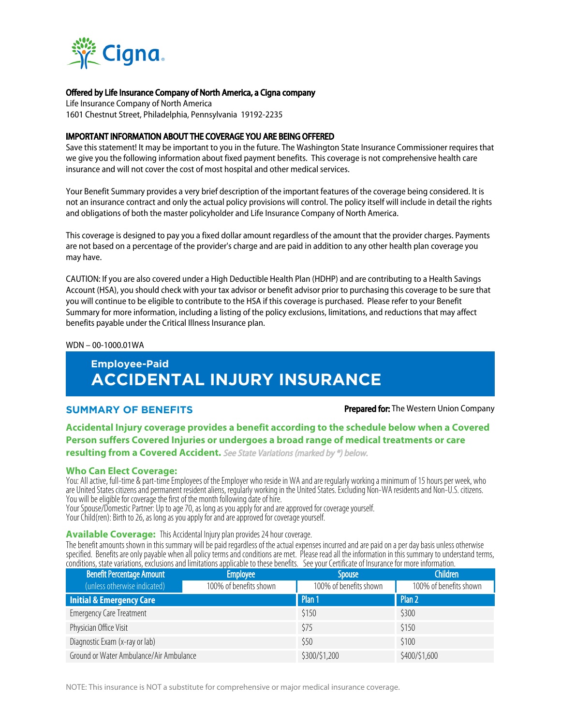

# Offered by Life Insurance Company of North America, a Cigna company

Life Insurance Company of North America 1601 Chestnut Street, Philadelphia, Pennsylvania 19192-2235

# IMPORTANT INFORMATION ABOUT THE COVERAGE YOU ARE BEING OFFERED

Save this statement! It may be important to you in the future. The Washington State Insurance Commissioner requires that we give you the following information about fixed payment benefits. This coverage is not comprehensive health care insurance and will not cover the cost of most hospital and other medical services.

Your Benefit Summary provides a very brief description of the important features of the coverage being considered. It is not an insurance contract and only the actual policy provisions will control. The policy itself will include in detail the rights and obligations of both the master policyholder and Life Insurance Company of North America.

This coverage is designed to pay you a fixed dollar amount regardless of the amount that the provider charges. Payments are not based on a percentage of the provider's charge and are paid in addition to any other health plan coverage you may have.

CAUTION: If you are also covered under a High Deductible Health Plan (HDHP) and are contributing to a Health Savings Account (HSA), you should check with your tax advisor or benefit advisor prior to purchasing this coverage to be sure that you will continue to be eligible to contribute to the HSA if this coverage is purchased. Please refer to your Benefit Summary for more information, including a listing of the policy exclusions, limitations, and reductions that may affect benefits payable under the Critical Illness Insurance plan.

WDN – 00-1000.01WA

# **Employee-Paid ACCIDENTAL INJURY INSURANCE**

**SUMMARY OF BENEFITS Prepared for:** The Western Union Company

# **Accidental Injury coverage provides a benefit according to the schedule below when a Covered Person suffers Covered Injuries or undergoes a broad range of medical treatments or care**

**resulting from a Covered Accident.** See State Variations (marked by \*) below.

# **Who Can Elect Coverage:**

You: All active, full-time & part-time Employees of the Employer who reside in WA and are regularly working a minimum of 15 hours per week, who are United States citizens and permanent resident aliens, regularly working in the United States. Excluding Non-WA residents and Non-U.S. citizens. You will be eligible for coverage the first of the month following date of hire.

Your Spouse/Domestic Partner: Up to age 70, as long as you apply for and are approved for coverage yourself.

Your Child(ren): Birth to 26, as long as you apply for and are approved for coverage yourself.

## **Available Coverage:** This Accidental Injury plan provides 24 hour coverage.

The benefit amounts shown in this summary will be paid regardless of the actual expenses incurred and are paid on a per day basis unless otherwise specified. Benefits are only payable when all policy terms and conditions are met. Please read all the information in this summary to understand terms, conditions, state variations, exclusions and limitations applicable to these benefits. See your Certificate of Insurance for more information.

| <b>Benefit Percentage Amount</b>        | <b>Employee</b>        | <b>Spouse</b>          | <b>Children</b>        |
|-----------------------------------------|------------------------|------------------------|------------------------|
| (unless otherwise indicated)            | 100% of benefits shown | 100% of benefits shown | 100% of benefits shown |
| <b>Initial &amp; Emergency Care</b>     |                        | Plan 1                 | Plan 2                 |
| <b>Emergency Care Treatment</b>         |                        | \$150                  | \$300                  |
| Physician Office Visit                  |                        | \$75                   | \$150                  |
| Diagnostic Exam (x-ray or lab)          |                        | \$50                   | \$100                  |
| Ground or Water Ambulance/Air Ambulance |                        | \$300/\$1,200          | \$400/\$1,600          |

NOTE: This insurance is NOT a substitute for comprehensive or major medical insurance coverage.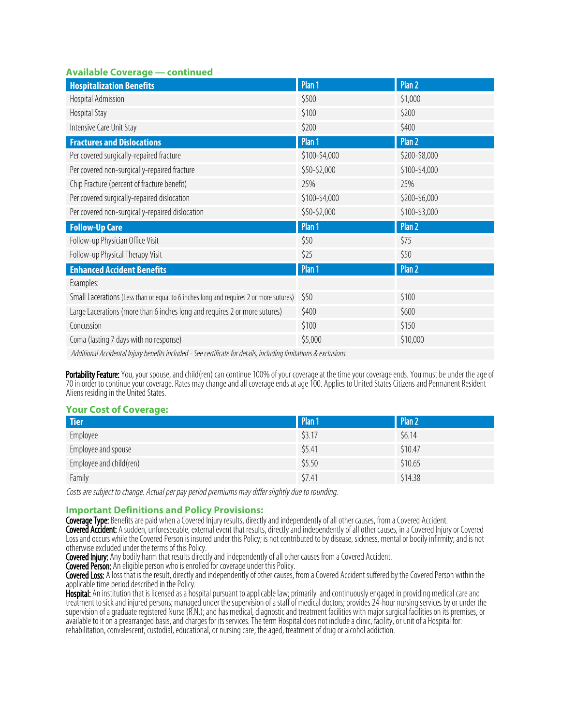# **Available Coverage — continued**

| <b>Hospitalization Benefits</b>                                                        | Plan 1        | Plan 2        |
|----------------------------------------------------------------------------------------|---------------|---------------|
| Hospital Admission                                                                     | \$500         | \$1,000       |
| Hospital Stay                                                                          | \$100         | \$200         |
| Intensive Care Unit Stay                                                               | \$200         | \$400         |
| <b>Fractures and Dislocations</b>                                                      | Plan 1        | Plan 2        |
| Per covered surgically-repaired fracture                                               | \$100-\$4,000 | \$200-\$8,000 |
| Per covered non-surgically-repaired fracture                                           | \$50-\$2,000  | \$100-\$4,000 |
| Chip Fracture (percent of fracture benefit)                                            | 25%           | 25%           |
| Per covered surgically-repaired dislocation                                            | \$100-\$4,000 | \$200-\$6,000 |
| Per covered non-surgically-repaired dislocation                                        | \$50-\$2,000  | \$100-\$3,000 |
| <b>Follow-Up Care</b>                                                                  | Plan 1        | Plan 2        |
| Follow-up Physician Office Visit                                                       | \$50          | \$75          |
| Follow-up Physical Therapy Visit                                                       | \$25          | \$50          |
| <b>Enhanced Accident Benefits</b>                                                      | Plan 1        | Plan 2        |
| Examples:                                                                              |               |               |
| Small Lacerations (Less than or equal to 6 inches long and requires 2 or more sutures) | \$50          | \$100         |
| Large Lacerations (more than 6 inches long and requires 2 or more sutures)             | \$400         | \$600         |
| Concussion                                                                             | \$100         | \$150         |
| Coma (lasting 7 days with no response)                                                 | \$5,000       | \$10,000      |
|                                                                                        |               |               |

Additional Accidental Injury benefits included - See certificate for details, including limitations & exclusions.

Portability Feature: You, your spouse, and child(ren) can continue 100% of your coverage at the time your coverage ends. You must be under the age of 70in order to continue your coverage. Rates may change and all coverage ends at age100. Applies to United States Citizens and Permanent Resident Aliens residing in the United States.

# **Your Cost of Coverage:**

| <b>Tier</b>             | Plan 1 | Plan 2  |
|-------------------------|--------|---------|
| Employee                | \$3.17 | \$6.14  |
| Employee and spouse     | \$5.41 | \$10.47 |
| Employee and child(ren) | \$5.50 | \$10.65 |
| Family                  | \$7.41 | \$14.38 |

Costs are subject to change. Actual per pay period premiums may differ slightly due to rounding.

# **Important Definitions and Policy Provisions:**

Coverage Type: Benefits are paid when a Covered Injury results, directly and independently of all other causes, from a Covered Accident. Covered Accident: A sudden, unforeseeable, external event that results, directly and independently of all other causes, in a Covered Injury or Covered Loss and occurs while the Covered Person is insured under this Policy; is not contributed to by disease, sickness, mental or bodily infirmity; and is not otherwise excluded under the terms of this Policy.

Covered Injury: Any bodily harm that results directly and independently of all other causes from a Covered Accident.

Covered Person: An eligible person who is enrolled for coverage under this Policy.

Covered Loss: A loss that is the result, directly and independently of other causes, from a Covered Accident suffered by the Covered Person within the applicable time period described in the Policy.

Hospital: An institution that is licensed as a hospital pursuant to applicable law; primarily and continuously engaged in providing medical care and treatment to sick and injured persons; managed under the supervision of a staff of medical doctors; provides 24-hour nursing services by or under the supervision of a graduate registered Nurse (R.N.); and has medical, diagnostic and treatment facilities with major surgical facilities on its premises, or available to it on a prearranged basis, and charges for its services. The term Hospital does not include a clinic, facility, or unit of a Hospital for: rehabilitation, convalescent, custodial, educational, or nursing care; the aged, treatment of drug or alcohol addiction.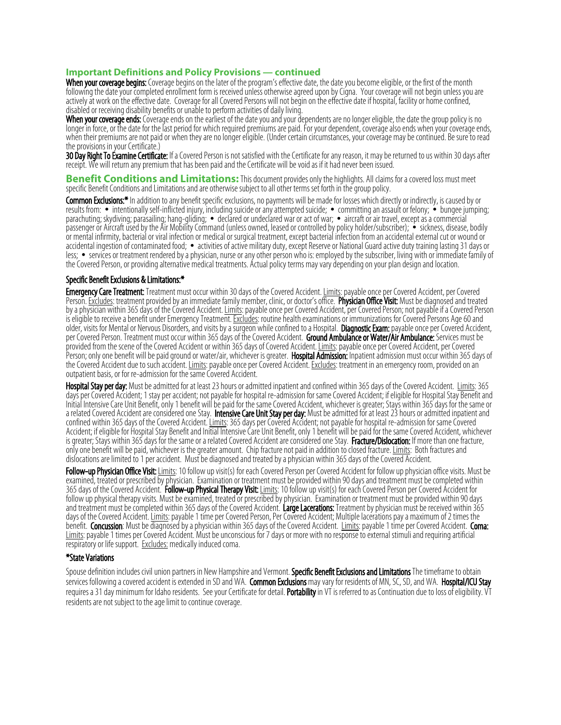## **Important Definitions and Policy Provisions — continued**

When your coverage begins: Coverage begins on the later of the program's effective date, the date you become eligible, or the first of the month following the date your completed enrollment form is received unless otherwise agreed upon by Cigna. Your coverage will not begin unless you are actively at work on the effective date. Coverage for all Covered Persons will not begin on the effective date if hospital, facility or home confined, disabled or receiving disability benefits or unable to perform activities of daily living.

When your coverage ends: Coverage ends on the earliest of the date you and your dependents are no longer eligible, the date the group policy is no longer in force, or the date for the last period for which required premiums are paid. For your dependent, coverage also ends when your coverage ends, when their premiums are not paid or when they are no longer eligible. (Under certain circumstances, your coverage may be continued. Be sure to read the provisions in your Certificate.)

30 Day Right To Examine Certificate: If a Covered Person is not satisfied with the Certificate for any reason, it may be returned to us within 30 days after receipt. We will return any premium that has been paid and the Certificate will be void as if it had never been issued.

**Benefit Conditions and Limitations:** This document provides only the highlights. All claims for a covered loss must meet specific Benefit Conditions and Limitations and are otherwise subject to all other terms set forth in the group policy.

Common Exclusions:\* In addition to any benefit specific exclusions, no payments will be made for losses which directly or indirectly, is caused by or results from: • intentionally self-inflicted injury, including suicide or any attempted suicide; • committing an assault or felony; • bungee jumping; parachuting; skydiving; parasailing; hang-gliding; • declared or undeclared war or act of war; • aircraft or air travel, except as a commercial passenger or Aircraft used by the Air Mobility Command (unless owned, leased or controlled by policy holder/subscriber); • sickness, disease, bodily or mental infirmity, bacterial or viral infection or medical or surgical treatment, except bacterial infection from an accidental external cut or wound or accidental ingestion of contaminated food; • activities of active military duty, except Reserve or National Guard active duty training lasting 31 days or less; • services or treatment rendered by a physician, nurse or any other person who is: employed by the subscriber, living with or immediate family of the Covered Person, or providing alternative medical treatments. Actual policy terms may vary depending on your plan design and location.

## Specific Benefit Exclusions & Limitations:\*

Emergency Care Treatment: Treatment must occur within 30 days of the Covered Accident. Limits: payable once per Covered Accident, per Covered Person. Excludes: treatment provided by an immediate family member, clinic, or doctor's office. Physician Office Visit: Must be diagnosed and treated by a physician within 365 days of the Covered Accident. <u>Limits</u>: payable once per Covered Accident, per Covered Person; not payable if a Covered Person is eligible to receive a benefit under Emergency Treatment. <u>Excludes</u>: routine health examinations or immunizations for Covered Persons Age 60 and older, visits for Mental or Nervous Disorders, and visits by a surgeon while confined to a Hospital. Diagnostic Exam: payable once per Covered Accident, per Covered Person. Treatment must occur within 365 days of the Covered Accident. Ground Ambulance or Water/Air Ambulance: Services must be provided from the scene of the Covered Accident or within 365 days of Covered Accident. Limits: payable once per Covered Accident, per Covered Person; only one benefit will be paid ground or water/air, whichever is greater. Hospital Admission: Inpatient admission must occur within 365 days of the Covered Accident due to such accident. Limits: payable once per Covered Accident. Excludes: treatment in an emergency room, provided on an outpatient basis, or for re-admission for the same Covered Accident.

Hospital Stay per day: Must be admitted for at least 23 hours or admitted inpatient and confined within 365 days of the Covered Accident. Limits: 365 days per Covered Accident; 1 stay per accident; not payable for hospital re-admission for same Covered Accident; if eligible for Hospital Stay Benefit and Initial Intensive Care Unit Benefit, only 1 benefit will be paid for the same Covered Accident, whichever is greater; Stays within 365 days for the same or a related Covered Accident are considered one Stay. Intensive Care Unit Stay per day: Must be admitted for at least 23 hours or admitted inpatient and confined within 365 days of the Covered Accident. Limits: 365 days per Covered Accident; not payable for hospital re-admission for same Covered Accident; if eligible for Hospital Stay Benefit and Initial Intensive Care Unit Benefit, only 1 benefit will be paid for the same Covered Accident, whichever is greater; Stays within 365 days for the same or a related Covered Accident are considered one Stay. Fracture/Dislocation: If more than one fracture, only one benefit will be paid, whichever is the greater amount. Chip fracture not paid in addition to closed fracture. Limits: Both fractures and dislocations are limited to 1 per accident. Must be diagnosed and treated by a physician within 365 days of the Covered Accident.

**Follow-up Physician Office Visit:** Limits: 10 follow up visit(s) for each Covered Person per Covered Accident for follow up physician office visits. Must be examined, treated or prescribed by physician. Examination or treatment must be provided within 90 days and treatment must be completed within 365 days of the Covered Accident. **Follow-up Physical Therapy Visit:** <u>Limits</u>: 10 follow up visit(s) for each Covered Person per Covered Accident for follow up physical therapy visits. Must be examined, treated or prescribed by physician. Examination or treatment must be provided within 90 days and treatment must be completed within 365 days of the Covered Accident. Large Lacerations: Treatment by physician must be received within 365 days of the Covered Accident.Limits: payable 1 time per Covered Person, Per Covered Accident; Multiple lacerations pay a maximum of 2 times the benefit. Concussion: Must be diagnosed by a physician within 365 days of the Covered Accident. Limits: payable 1 time per Covered Accident. Coma: Limits: payable 1 times per Covered Accident. Must be unconscious for 7 days or more with no response to external stimuli and requiring artificial respiratory or life support. Excludes: medically induced coma.

#### \*State Variations

Spouse definition includes civil union partners in New Hampshire and Vermont. Specific Benefit Exclusions and Limitations The timeframe to obtain services following a covered accident is extended in SD and WA. Common Exclusions may vary for residents of MN, SC, SD, and WA. Hospital/ICU Stay requires a 31 day minimum for Idaho residents. See your Certificate for detail. Portability in VT is referred to as Continuation due to loss of eligibility. VT residents are not subject to the age limit to continue coverage.